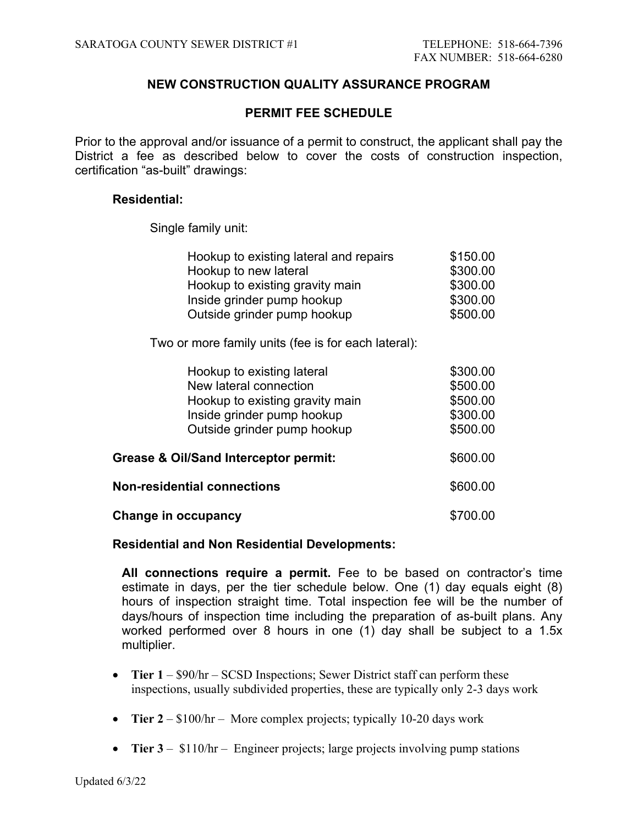# **NEW CONSTRUCTION QUALITY ASSURANCE PROGRAM**

# **PERMIT FEE SCHEDULE**

Prior to the approval and/or issuance of a permit to construct, the applicant shall pay the District a fee as described below to cover the costs of construction inspection, certification "as-built" drawings:

# **Residential:**

Single family unit:

| Hookup to existing lateral and repairs | \$150.00 |
|----------------------------------------|----------|
| Hookup to new lateral                  | \$300.00 |
| Hookup to existing gravity main        | \$300.00 |
| Inside grinder pump hookup             | \$300.00 |
| Outside grinder pump hookup            | \$500.00 |

Two or more family units (fee is for each lateral):

|                                                  | Hookup to existing lateral         | \$300.00 |
|--------------------------------------------------|------------------------------------|----------|
|                                                  | New lateral connection             | \$500.00 |
|                                                  | Hookup to existing gravity main    | \$500.00 |
|                                                  | Inside grinder pump hookup         | \$300.00 |
|                                                  | Outside grinder pump hookup        | \$500.00 |
|                                                  |                                    |          |
| <b>Grease &amp; Oil/Sand Interceptor permit:</b> |                                    | \$600.00 |
|                                                  |                                    |          |
|                                                  | <b>Non-residential connections</b> | \$600.00 |
|                                                  |                                    |          |
|                                                  | Change in occupancy                | \$700.00 |

## **Residential and Non Residential Developments:**

**All connections require a permit.** Fee to be based on contractor's time estimate in days, per the tier schedule below. One (1) day equals eight (8) hours of inspection straight time. Total inspection fee will be the number of days/hours of inspection time including the preparation of as-built plans. Any worked performed over 8 hours in one (1) day shall be subject to a 1.5x multiplier.

- Tier  $1 $90/hr SCSD$  Inspections; Sewer District staff can perform these inspections, usually subdivided properties, these are typically only 2-3 days work
- **Tier 2** \$100/hr More complex projects; typically 10-20 days work
- **Tier 3** \$110/hr Engineer projects; large projects involving pump stations